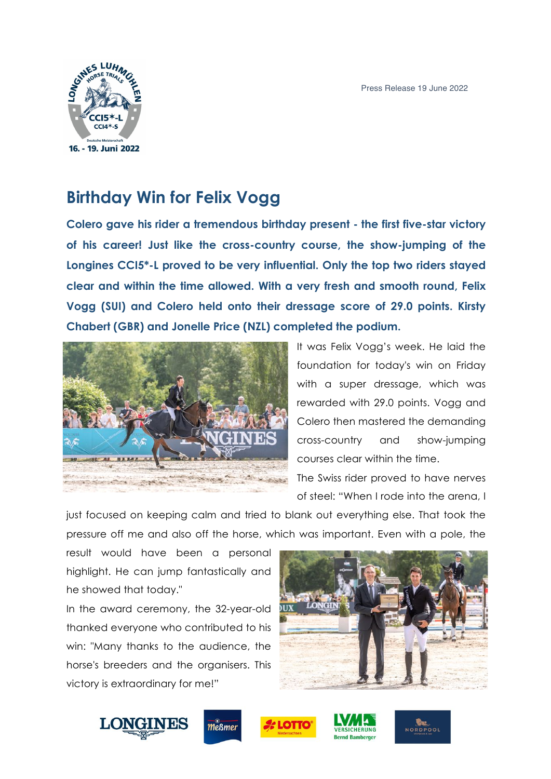

## **Birthday Win for Felix Vogg**

**Colero gave his rider a tremendous birthday present - the first five-star victory of his career! Just like the cross-country course, the show-jumping of the Longines CCI5\*-L proved to be very influential. Only the top two riders stayed clear and within the time allowed. With a very fresh and smooth round, Felix Vogg (SUI) and Colero held onto their dressage score of 29.0 points. Kirsty Chabert (GBR) and Jonelle Price (NZL) completed the podium.**



It was Felix Vogg's week. He laid the foundation for today's win on Friday with a super dressage, which was rewarded with 29.0 points. Vogg and Colero then mastered the demanding cross-country and show-jumping courses clear within the time. The Swiss rider proved to have nerves

just focused on keeping calm and tried to blank out everything else. That took the pressure off me and also off the horse, which was important. Even with a pole, the

result would have been a personal highlight. He can jump fantastically and he showed that today."

In the award ceremony, the 32-year-old thanked everyone who contributed to his win: "Many thanks to the audience, the horse's breeders and the organisers. This victory is extraordinary for me!"



**NORDPOOL** 







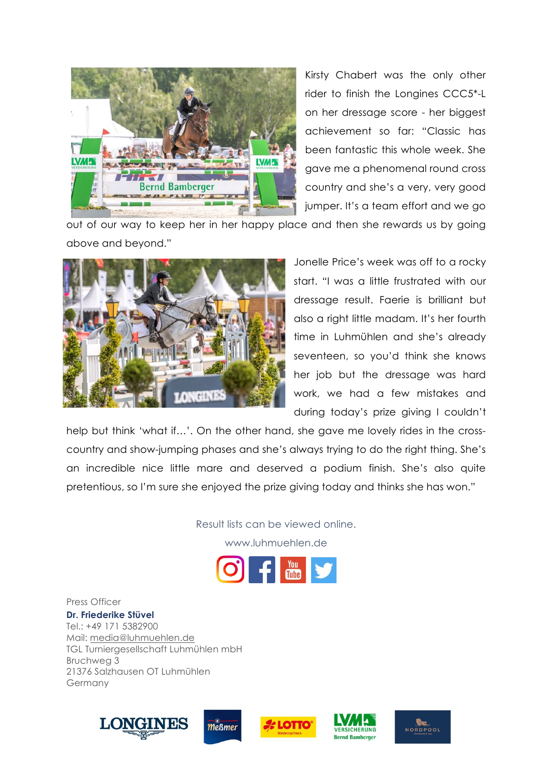

Kirsty Chabert was the only other rider to finish the Longines CCC5\*-L on her dressage score - her biggest achievement so far: "Classic has been fantastic this whole week. She gave me a phenomenal round cross country and she's a very, very good jumper. It's a team effort and we go

out of our way to keep her in her happy place and then she rewards us by going above and beyond."



Jonelle Price's week was off to a rocky start. "I was a little frustrated with our dressage result. Faerie is brilliant but also a right little madam. It's her fourth time in Luhmühlen and she's already seventeen, so you'd think she knows her job but the dressage was hard work, we had a few mistakes and during today's prize giving I couldn't

help but think 'what if…'. On the other hand, she gave me lovely rides in the crosscountry and show-jumping phases and she's always trying to do the right thing. She's an incredible nice little mare and deserved a podium finish. She's also quite pretentious, so I'm sure she enjoyed the prize giving today and thinks she has won."

Result lists can be viewed online.

www.luhmuehlen.de



Press Officer

**Dr. Friederike Stüvel** Tel.: +49 171 5382900 Mail: media@luhmuehlen.de TGL Turniergesellschaft Luhmühlen mbH Bruchweg 3 21376 Salzhausen OT Luhmühlen Germany